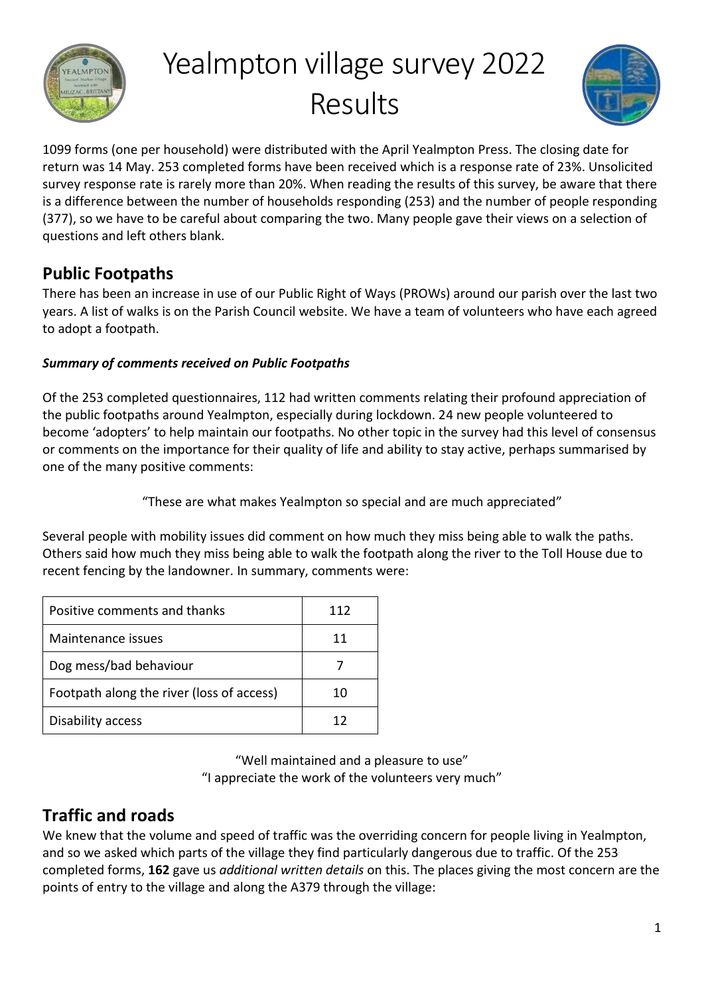

# Yealmpton village survey 2022 Results



1099 forms (one per household) were distributed with the April Yealmpton Press. The closing date for return was 14 May. 253 completed forms have been received which is a response rate of 23%. Unsolicited survey response rate is rarely more than 20%. When reading the results of this survey, be aware that there is a difference between the number of households responding (253) and the number of people responding (377), so we have to be careful about comparing the two. Many people gave their views on a selection of questions and left others blank.

# **Public Footpaths**

There has been an increase in use of our Public Right of Ways (PROWs) around our parish over the last two years. A list of walks is on the Parish Council website. We have a team of volunteers who have each agreed to adopt a footpath.

## *Summary of comments received on Public Footpaths*

Of the 253 completed questionnaires, 112 had written comments relating their profound appreciation of the public footpaths around Yealmpton, especially during lockdown. 24 new people volunteered to become 'adopters' to help maintain our footpaths. No other topic in the survey had this level of consensus or comments on the importance for their quality of life and ability to stay active, perhaps summarised by one of the many positive comments:

"These are what makes Yealmpton so special and are much appreciated"

Several people with mobility issues did comment on how much they miss being able to walk the paths. Others said how much they miss being able to walk the footpath along the river to the Toll House due to recent fencing by the landowner. In summary, comments were:

| Positive comments and thanks              | 112 |
|-------------------------------------------|-----|
| Maintenance issues                        | 11  |
| Dog mess/bad behaviour                    |     |
| Footpath along the river (loss of access) | 10  |
| Disability access                         | 17  |

"Well maintained and a pleasure to use" "I appreciate the work of the volunteers very much"

# **Traffic and roads**

We knew that the volume and speed of traffic was the overriding concern for people living in Yealmpton, and so we asked which parts of the village they find particularly dangerous due to traffic. Of the 253 completed forms, **162** gave us *additional written details* on this. The places giving the most concern are the points of entry to the village and along the A379 through the village: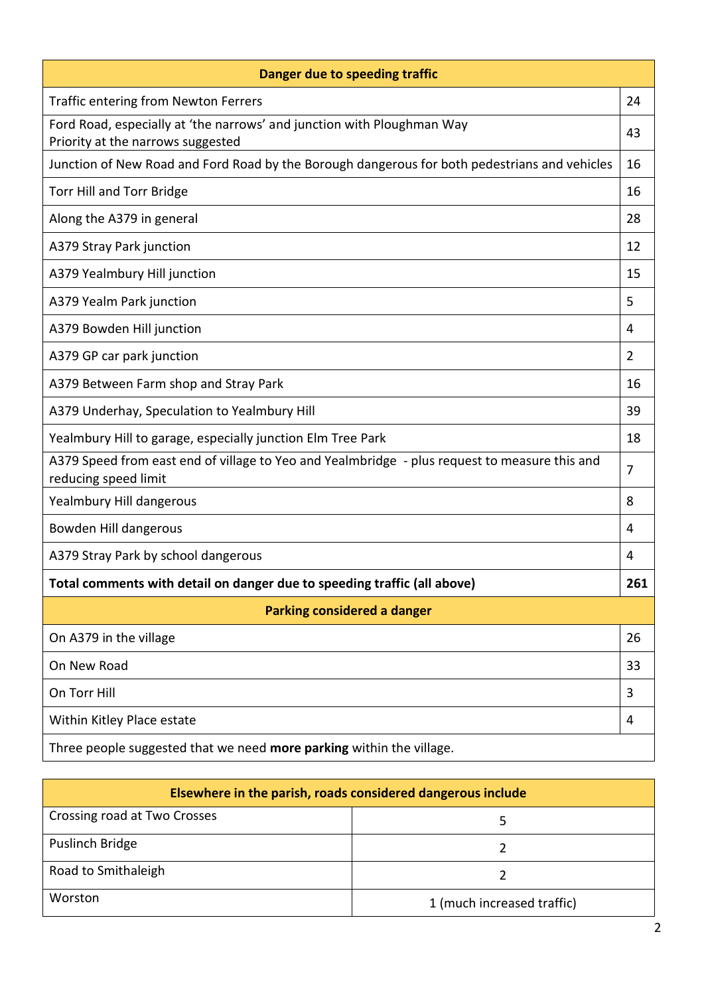| Danger due to speeding traffic                                                                                        |                |  |  |  |
|-----------------------------------------------------------------------------------------------------------------------|----------------|--|--|--|
| <b>Traffic entering from Newton Ferrers</b>                                                                           | 24             |  |  |  |
| Ford Road, especially at 'the narrows' and junction with Ploughman Way<br>Priority at the narrows suggested           | 43             |  |  |  |
| Junction of New Road and Ford Road by the Borough dangerous for both pedestrians and vehicles                         | 16             |  |  |  |
| Torr Hill and Torr Bridge                                                                                             | 16             |  |  |  |
| Along the A379 in general                                                                                             | 28             |  |  |  |
| A379 Stray Park junction                                                                                              | 12             |  |  |  |
| A379 Yealmbury Hill junction                                                                                          | 15             |  |  |  |
| A379 Yealm Park junction                                                                                              | 5              |  |  |  |
| A379 Bowden Hill junction                                                                                             | 4              |  |  |  |
| A379 GP car park junction                                                                                             | $\overline{2}$ |  |  |  |
| A379 Between Farm shop and Stray Park                                                                                 | 16             |  |  |  |
| A379 Underhay, Speculation to Yealmbury Hill                                                                          | 39             |  |  |  |
| Yealmbury Hill to garage, especially junction Elm Tree Park                                                           | 18             |  |  |  |
| A379 Speed from east end of village to Yeo and Yealmbridge - plus request to measure this and<br>reducing speed limit | 7              |  |  |  |
| Yealmbury Hill dangerous                                                                                              | 8              |  |  |  |
| Bowden Hill dangerous                                                                                                 | 4              |  |  |  |
| A379 Stray Park by school dangerous                                                                                   | 4              |  |  |  |
| Total comments with detail on danger due to speeding traffic (all above)                                              | 261            |  |  |  |
| Parking considered a danger                                                                                           |                |  |  |  |
| On A379 in the village                                                                                                | 26             |  |  |  |
| On New Road                                                                                                           | 33             |  |  |  |
| On Torr Hill                                                                                                          | 3              |  |  |  |
| Within Kitley Place estate                                                                                            | 4              |  |  |  |
| Three people suggested that we need more parking within the village.                                                  |                |  |  |  |

| Elsewhere in the parish, roads considered dangerous include |                            |  |  |
|-------------------------------------------------------------|----------------------------|--|--|
| Crossing road at Two Crosses                                |                            |  |  |
| Puslinch Bridge                                             |                            |  |  |
| Road to Smithaleigh                                         |                            |  |  |
| Worston                                                     | 1 (much increased traffic) |  |  |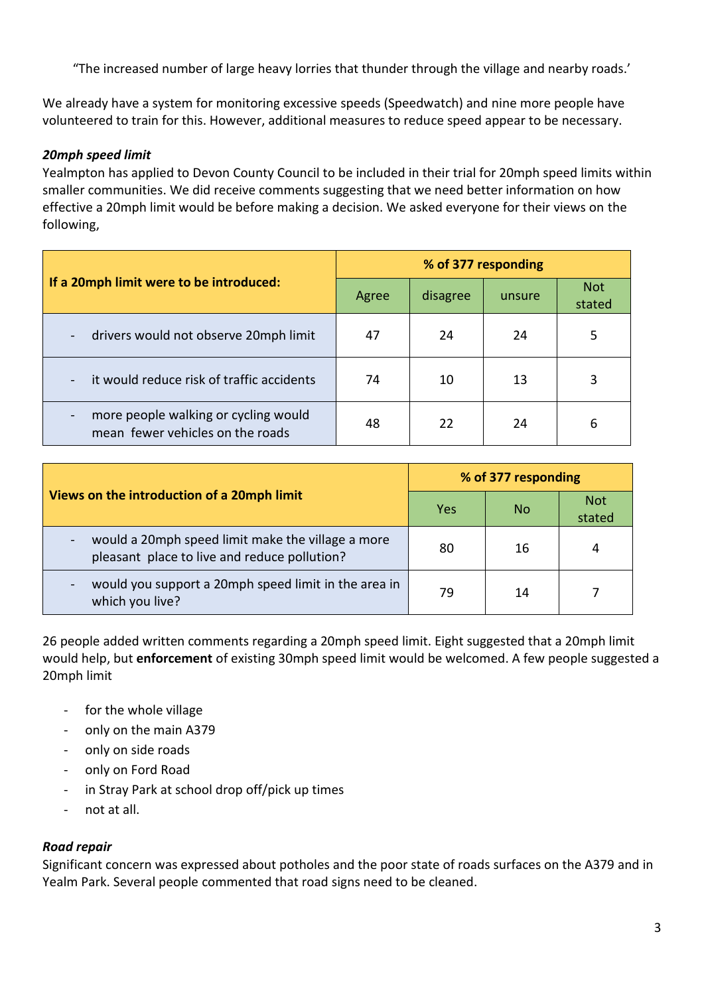"The increased number of large heavy lorries that thunder through the village and nearby roads.'

We already have a system for monitoring excessive speeds (Speedwatch) and nine more people have volunteered to train for this. However, additional measures to reduce speed appear to be necessary.

#### *20mph speed limit*

Yealmpton has applied to Devon County Council to be included in their trial for 20mph speed limits within smaller communities. We did receive comments suggesting that we need better information on how effective a 20mph limit would be before making a decision. We asked everyone for their views on the following,

|                                                                          | % of 377 responding |          |        |                      |  |
|--------------------------------------------------------------------------|---------------------|----------|--------|----------------------|--|
| If a 20mph limit were to be introduced:                                  | Agree               | disagree | unsure | <b>Not</b><br>stated |  |
| drivers would not observe 20mph limit<br>$\blacksquare$                  | 47                  | 24       | 24     | 5                    |  |
| it would reduce risk of traffic accidents                                | 74                  | 10       | 13     | 3                    |  |
| more people walking or cycling would<br>mean fewer vehicles on the roads | 48                  | 22       | 24     | 6                    |  |

|                                                                                                                               | % of 377 responding |    |                      |  |
|-------------------------------------------------------------------------------------------------------------------------------|---------------------|----|----------------------|--|
| Views on the introduction of a 20mph limit                                                                                    | Yes                 | No | <b>Not</b><br>stated |  |
| would a 20mph speed limit make the village a more<br>$\overline{\phantom{a}}$<br>pleasant place to live and reduce pollution? | 80                  | 16 | 4                    |  |
| would you support a 20mph speed limit in the area in<br>which you live?                                                       | 79                  | 14 |                      |  |

26 people added written comments regarding a 20mph speed limit. Eight suggested that a 20mph limit would help, but **enforcement** of existing 30mph speed limit would be welcomed. A few people suggested a 20mph limit

- for the whole village
- only on the main A379
- only on side roads
- only on Ford Road
- in Stray Park at school drop off/pick up times
- not at all.

#### *Road repair*

Significant concern was expressed about potholes and the poor state of roads surfaces on the A379 and in Yealm Park. Several people commented that road signs need to be cleaned.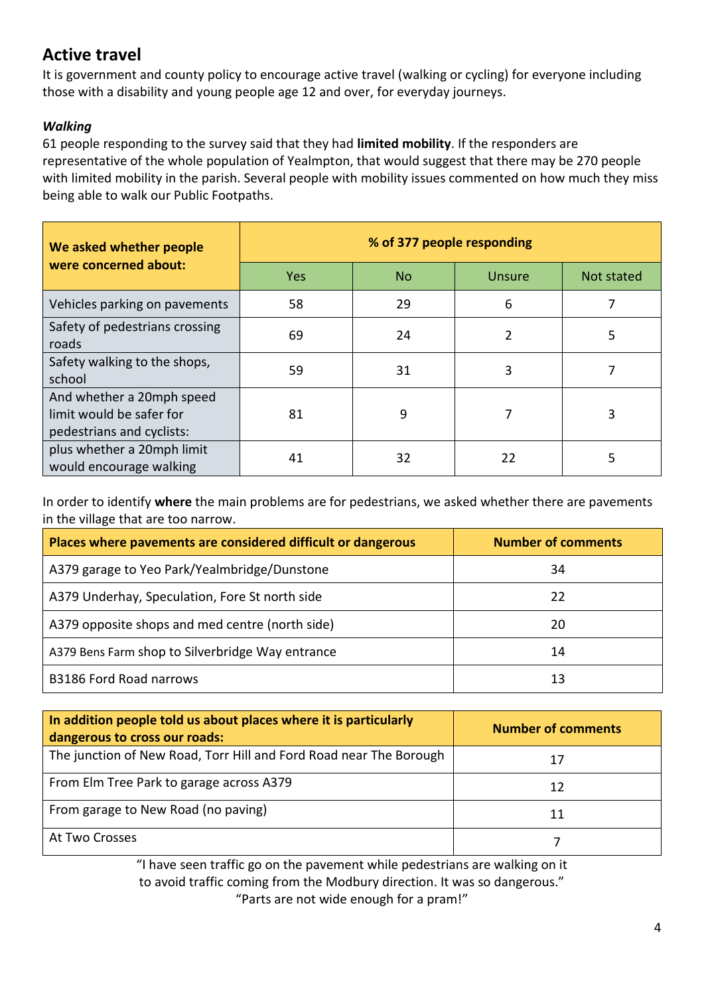# **Active travel**

It is government and county policy to encourage active travel (walking or cycling) for everyone including those with a disability and young people age 12 and over, for everyday journeys.

### *Walking*

61 people responding to the survey said that they had **limited mobility**. If the responders are representative of the whole population of Yealmpton, that would suggest that there may be 270 people with limited mobility in the parish. Several people with mobility issues commented on how much they miss being able to walk our Public Footpaths.

| We asked whether people                                                            | % of 377 people responding |           |    |            |  |  |  |  |
|------------------------------------------------------------------------------------|----------------------------|-----------|----|------------|--|--|--|--|
| were concerned about:                                                              | <b>Yes</b>                 | <b>No</b> |    | Not stated |  |  |  |  |
| Vehicles parking on pavements                                                      | 58                         | 29        | 6  |            |  |  |  |  |
| Safety of pedestrians crossing<br>roads                                            | 69                         | 24        | 2  | 5          |  |  |  |  |
| Safety walking to the shops,<br>school                                             | 59                         | 31        | 3  |            |  |  |  |  |
| And whether a 20mph speed<br>limit would be safer for<br>pedestrians and cyclists: | 81                         | 9         | 7  | 3          |  |  |  |  |
| plus whether a 20mph limit<br>would encourage walking                              | 41                         | 32        | 22 | 5          |  |  |  |  |

In order to identify **where** the main problems are for pedestrians, we asked whether there are pavements in the village that are too narrow.

| Places where pavements are considered difficult or dangerous | <b>Number of comments</b> |
|--------------------------------------------------------------|---------------------------|
| A379 garage to Yeo Park/Yealmbridge/Dunstone                 | 34                        |
| A379 Underhay, Speculation, Fore St north side               | 22                        |
| A379 opposite shops and med centre (north side)              | 20                        |
| A379 Bens Farm shop to Silverbridge Way entrance             | 14                        |
| <b>B3186 Ford Road narrows</b>                               | 13                        |

| In addition people told us about places where it is particularly<br>dangerous to cross our roads: | <b>Number of comments</b> |
|---------------------------------------------------------------------------------------------------|---------------------------|
| The junction of New Road, Torr Hill and Ford Road near The Borough                                |                           |
| From Elm Tree Park to garage across A379                                                          | 12                        |
| From garage to New Road (no paving)                                                               | 11                        |
| At Two Crosses                                                                                    |                           |

"I have seen traffic go on the pavement while pedestrians are walking on it to avoid traffic coming from the Modbury direction. It was so dangerous." "Parts are not wide enough for a pram!"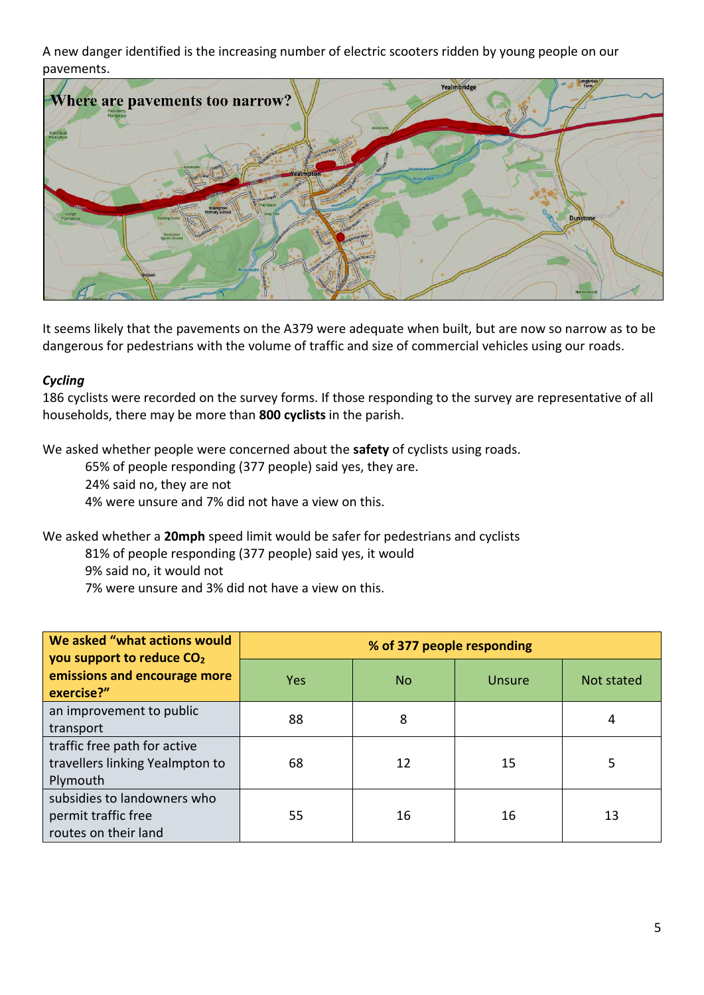A new danger identified is the increasing number of electric scooters ridden by young people on our pavements.



It seems likely that the pavements on the A379 were adequate when built, but are now so narrow as to be dangerous for pedestrians with the volume of traffic and size of commercial vehicles using our roads.

#### *Cycling*

186 cyclists were recorded on the survey forms. If those responding to the survey are representative of all households, there may be more than **800 cyclists** in the parish.

We asked whether people were concerned about the **safety** of cyclists using roads.

65% of people responding (377 people) said yes, they are.

24% said no, they are not

4% were unsure and 7% did not have a view on this.

We asked whether a **20mph** speed limit would be safer for pedestrians and cyclists

81% of people responding (377 people) said yes, it would

9% said no, it would not

7% were unsure and 3% did not have a view on this.

| We asked "what actions would<br>you support to reduce CO <sub>2</sub>       | % of 377 people responding |                |        |            |  |
|-----------------------------------------------------------------------------|----------------------------|----------------|--------|------------|--|
| emissions and encourage more<br>exercise?"                                  | <b>Yes</b>                 | N <sub>o</sub> | Unsure | Not stated |  |
| an improvement to public<br>transport                                       | 88                         | 8              |        | 4          |  |
| traffic free path for active<br>travellers linking Yealmpton to<br>Plymouth | 68                         | 12             | 15     | 5          |  |
| subsidies to landowners who<br>permit traffic free<br>routes on their land  | 55                         | 16             | 16     | 13         |  |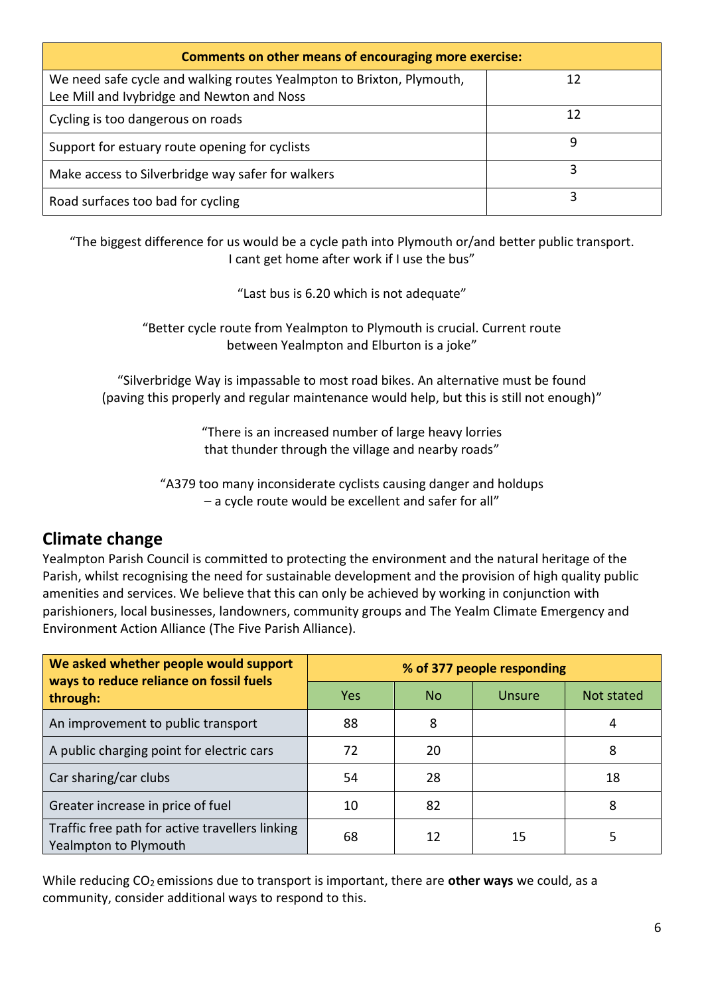| Comments on other means of encouraging more exercise:                                                               |    |  |  |  |
|---------------------------------------------------------------------------------------------------------------------|----|--|--|--|
| We need safe cycle and walking routes Yealmpton to Brixton, Plymouth,<br>Lee Mill and Ivybridge and Newton and Noss | 12 |  |  |  |
| Cycling is too dangerous on roads                                                                                   | 12 |  |  |  |
| Support for estuary route opening for cyclists                                                                      | q  |  |  |  |
| Make access to Silverbridge way safer for walkers                                                                   |    |  |  |  |
| Road surfaces too bad for cycling                                                                                   |    |  |  |  |

"The biggest difference for us would be a cycle path into Plymouth or/and better public transport. I cant get home after work if I use the bus"

"Last bus is 6.20 which is not adequate"

"Better cycle route from Yealmpton to Plymouth is crucial. Current route between Yealmpton and Elburton is a joke"

"Silverbridge Way is impassable to most road bikes. An alternative must be found (paving this properly and regular maintenance would help, but this is still not enough)"

> "There is an increased number of large heavy lorries that thunder through the village and nearby roads"

"A379 too many inconsiderate cyclists causing danger and holdups – a cycle route would be excellent and safer for all"

## **Climate change**

Yealmpton Parish Council is committed to protecting the environment and the natural heritage of the Parish, whilst recognising the need for sustainable development and the provision of high quality public amenities and services. We believe that this can only be achieved by working in conjunction with parishioners, local businesses, landowners, community groups and The Yealm Climate Emergency and Environment Action Alliance (The Five Parish Alliance).

| We asked whether people would support<br>ways to reduce reliance on fossil fuels | % of 377 people responding |           |        |            |
|----------------------------------------------------------------------------------|----------------------------|-----------|--------|------------|
| through:                                                                         | <b>Yes</b>                 | <b>No</b> | Unsure | Not stated |
| An improvement to public transport                                               | 88                         | 8         |        | 4          |
| A public charging point for electric cars                                        | 72                         | 20        |        | 8          |
| Car sharing/car clubs                                                            | 54                         | 28        |        | 18         |
| Greater increase in price of fuel                                                | 10                         | 82        |        | 8          |
| Traffic free path for active travellers linking<br>Yealmpton to Plymouth         | 68                         | 12        | 15     |            |

While reducing CO<sub>2</sub> emissions due to transport is important, there are **other ways** we could, as a community, consider additional ways to respond to this.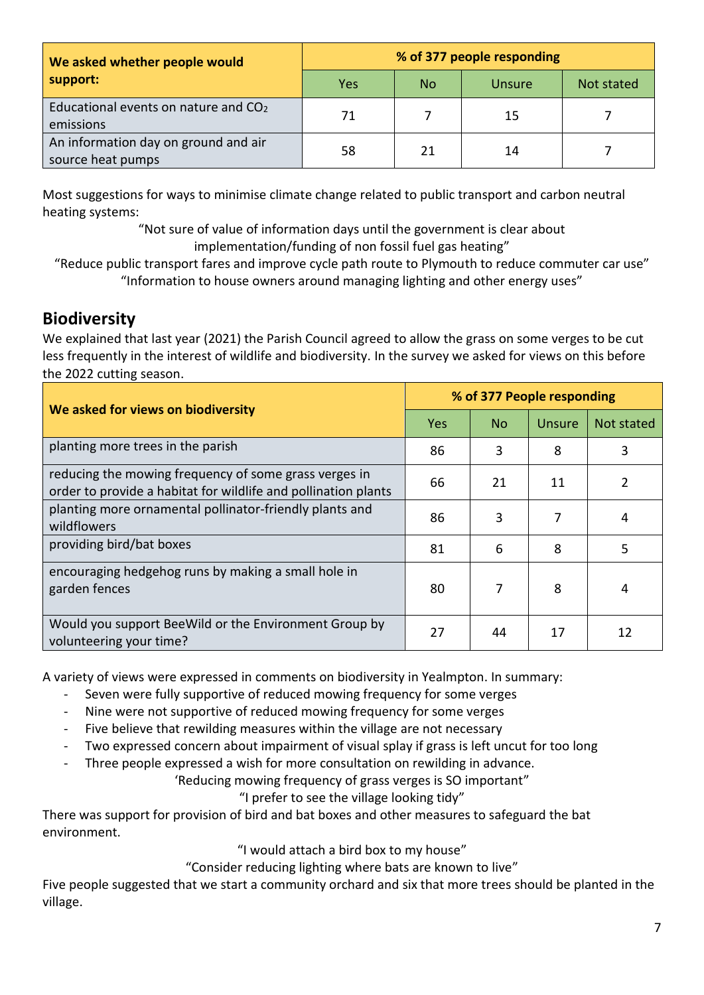| We asked whether people would                                 | % of 377 people responding |           |        |            |
|---------------------------------------------------------------|----------------------------|-----------|--------|------------|
| support:                                                      | Yes                        | <b>No</b> | Unsure | Not stated |
| Educational events on nature and CO <sub>2</sub><br>emissions | 71                         |           | 15     |            |
| An information day on ground and air<br>source heat pumps     | 58                         | 21        | 14     |            |

Most suggestions for ways to minimise climate change related to public transport and carbon neutral heating systems:

> "Not sure of value of information days until the government is clear about implementation/funding of non fossil fuel gas heating"

"Reduce public transport fares and improve cycle path route to Plymouth to reduce commuter car use" "Information to house owners around managing lighting and other energy uses"

# **Biodiversity**

We explained that last year (2021) the Parish Council agreed to allow the grass on some verges to be cut less frequently in the interest of wildlife and biodiversity. In the survey we asked for views on this before the 2022 cutting season.

| We asked for views on biodiversity                                                                                      |            | % of 377 People responding |               |            |  |
|-------------------------------------------------------------------------------------------------------------------------|------------|----------------------------|---------------|------------|--|
|                                                                                                                         | <b>Yes</b> | <b>No</b>                  | <b>Unsure</b> | Not stated |  |
| planting more trees in the parish                                                                                       | 86         | 3                          | 8             | 3          |  |
| reducing the mowing frequency of some grass verges in<br>order to provide a habitat for wildlife and pollination plants | 66         | 21                         | 11            | 2          |  |
| planting more ornamental pollinator-friendly plants and<br>wildflowers                                                  | 86         | 3                          | 7             | 4          |  |
| providing bird/bat boxes                                                                                                | 81         | 6                          | 8             | 5          |  |
| encouraging hedgehog runs by making a small hole in<br>garden fences                                                    | 80         | 7                          | 8             | 4          |  |
| Would you support BeeWild or the Environment Group by<br>volunteering your time?                                        | 27         | 44                         | 17            | 12         |  |

A variety of views were expressed in comments on biodiversity in Yealmpton. In summary:

- Seven were fully supportive of reduced mowing frequency for some verges
- Nine were not supportive of reduced mowing frequency for some verges
- Five believe that rewilding measures within the village are not necessary
- Two expressed concern about impairment of visual splay if grass is left uncut for too long
- Three people expressed a wish for more consultation on rewilding in advance.

'Reducing mowing frequency of grass verges is SO important"

"I prefer to see the village looking tidy"

There was support for provision of bird and bat boxes and other measures to safeguard the bat environment.

"I would attach a bird box to my house"

"Consider reducing lighting where bats are known to live"

Five people suggested that we start a community orchard and six that more trees should be planted in the village.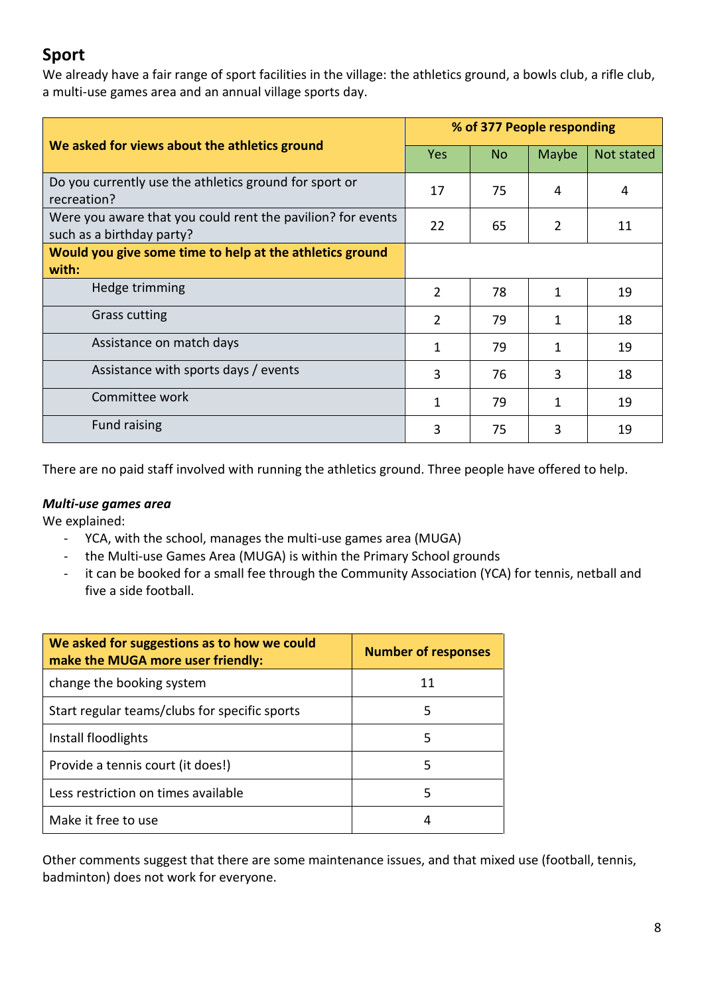# **Sport**

We already have a fair range of sport facilities in the village: the athletics ground, a bowls club, a rifle club, a multi-use games area and an annual village sports day.

|                                                                                          |                | % of 377 People responding |       |            |  |
|------------------------------------------------------------------------------------------|----------------|----------------------------|-------|------------|--|
| We asked for views about the athletics ground                                            | <b>Yes</b>     | No.                        | Maybe | Not stated |  |
| Do you currently use the athletics ground for sport or<br>recreation?                    | 17             | 75                         | 4     | 4          |  |
| Were you aware that you could rent the pavilion? for events<br>such as a birthday party? | 22             | 65                         | 2     | 11         |  |
| Would you give some time to help at the athletics ground                                 |                |                            |       |            |  |
| with:                                                                                    |                |                            |       |            |  |
| Hedge trimming                                                                           | $\overline{2}$ | 78                         | 1     | 19         |  |
| <b>Grass cutting</b>                                                                     | $\mathcal{P}$  | 79                         | 1     | 18         |  |
| Assistance on match days                                                                 | 1              | 79                         | 1     | 19         |  |
| Assistance with sports days / events                                                     | 3              | 76                         | 3     | 18         |  |
| Committee work                                                                           | 1              | 79                         | 1     | 19         |  |
| <b>Fund raising</b>                                                                      | 3              | 75                         | 3     | 19         |  |

There are no paid staff involved with running the athletics ground. Three people have offered to help.

#### *Multi-use games area*

We explained:

- YCA, with the school, manages the multi-use games area (MUGA)
- the Multi-use Games Area (MUGA) is within the Primary School grounds
- it can be booked for a small fee through the Community Association (YCA) for tennis, netball and five a side football.

| We asked for suggestions as to how we could<br>make the MUGA more user friendly: | <b>Number of responses</b> |
|----------------------------------------------------------------------------------|----------------------------|
| change the booking system                                                        | 11                         |
| Start regular teams/clubs for specific sports                                    | 5                          |
| Install floodlights                                                              | 5                          |
| Provide a tennis court (it does!)                                                | 5                          |
| Less restriction on times available                                              | 5                          |
| Make it free to use                                                              | 4                          |

Other comments suggest that there are some maintenance issues, and that mixed use (football, tennis, badminton) does not work for everyone.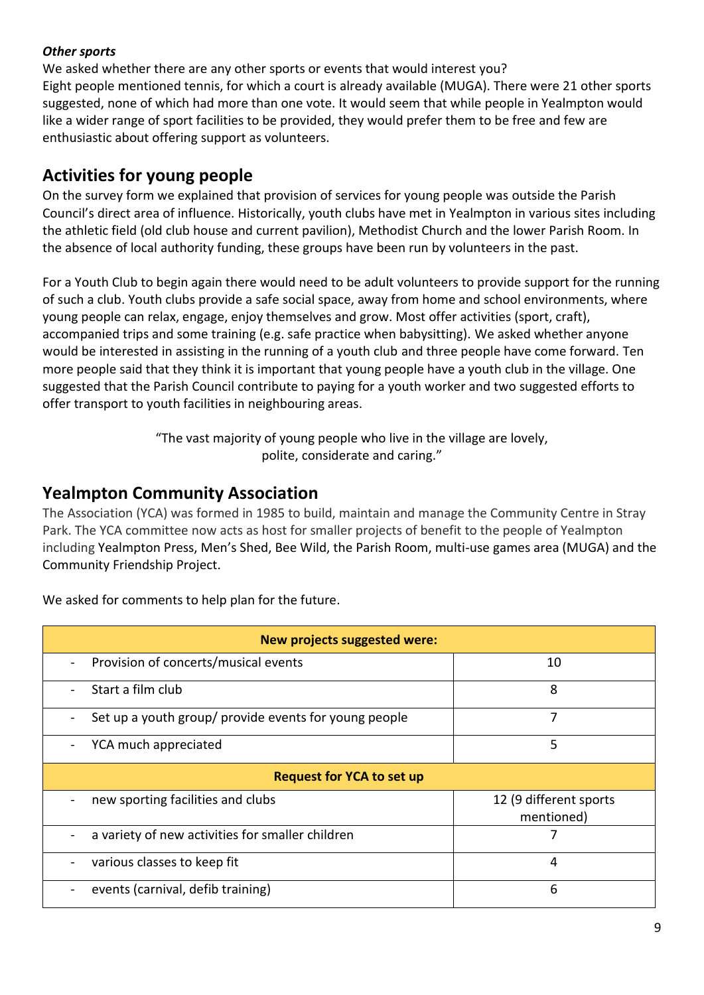#### *Other sports*

We asked whether there are any other sports or events that would interest you? Eight people mentioned tennis, for which a court is already available (MUGA). There were 21 other sports suggested, none of which had more than one vote. It would seem that while people in Yealmpton would like a wider range of sport facilities to be provided, they would prefer them to be free and few are enthusiastic about offering support as volunteers.

# **Activities for young people**

On the survey form we explained that provision of services for young people was outside the Parish Council's direct area of influence. Historically, youth clubs have met in Yealmpton in various sites including the athletic field (old club house and current pavilion), Methodist Church and the lower Parish Room. In the absence of local authority funding, these groups have been run by volunteers in the past.

For a Youth Club to begin again there would need to be adult volunteers to provide support for the running of such a club. Youth clubs provide a safe social space, away from home and school environments, where young people can relax, engage, enjoy themselves and grow. Most offer activities (sport, craft), accompanied trips and some training (e.g. safe practice when babysitting). We asked whether anyone would be interested in assisting in the running of a youth club and three people have come forward. Ten more people said that they think it is important that young people have a youth club in the village. One suggested that the Parish Council contribute to paying for a youth worker and two suggested efforts to offer transport to youth facilities in neighbouring areas.

> "The vast majority of young people who live in the village are lovely, polite, considerate and caring."

## **Yealmpton Community Association**

The Association (YCA) was formed in 1985 to build, maintain and manage the Community Centre in Stray Park. The YCA committee now acts as host for smaller projects of benefit to the people of Yealmpton including Yealmpton Press, Men's Shed, Bee Wild, the Parish Room, multi-use games area (MUGA) and the Community Friendship Project.

| <b>New projects suggested were:</b>                                               |                                      |  |  |  |
|-----------------------------------------------------------------------------------|--------------------------------------|--|--|--|
| Provision of concerts/musical events<br>$\overline{\phantom{a}}$                  | 10                                   |  |  |  |
| Start a film club                                                                 | 8                                    |  |  |  |
| Set up a youth group/ provide events for young people<br>$\overline{\phantom{a}}$ | 7                                    |  |  |  |
| YCA much appreciated                                                              | 5                                    |  |  |  |
| <b>Request for YCA to set up</b>                                                  |                                      |  |  |  |
| new sporting facilities and clubs                                                 | 12 (9 different sports<br>mentioned) |  |  |  |
| a variety of new activities for smaller children                                  |                                      |  |  |  |
| various classes to keep fit                                                       | 4                                    |  |  |  |
| events (carnival, defib training)                                                 | 6                                    |  |  |  |

We asked for comments to help plan for the future.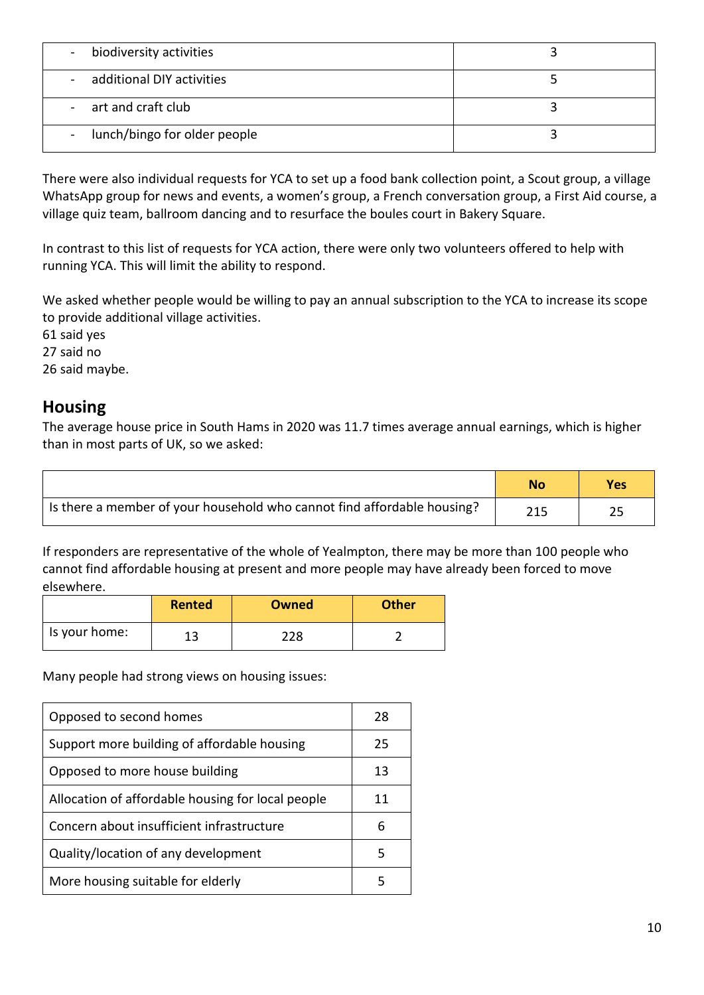| biodiversity activities<br>$\blacksquare$ |  |
|-------------------------------------------|--|
| - additional DIY activities               |  |
| - art and craft club                      |  |
| - lunch/bingo for older people            |  |

There were also individual requests for YCA to set up a food bank collection point, a Scout group, a village WhatsApp group for news and events, a women's group, a French conversation group, a First Aid course, a village quiz team, ballroom dancing and to resurface the boules court in Bakery Square.

In contrast to this list of requests for YCA action, there were only two volunteers offered to help with running YCA. This will limit the ability to respond.

We asked whether people would be willing to pay an annual subscription to the YCA to increase its scope to provide additional village activities.

61 said yes 27 said no 26 said maybe.

## **Housing**

The average house price in South Hams in 2020 was 11.7 times average annual earnings, which is higher than in most parts of UK, so we asked:

|                                                                         | No  | Yes |
|-------------------------------------------------------------------------|-----|-----|
| Is there a member of your household who cannot find affordable housing? | 215 |     |

If responders are representative of the whole of Yealmpton, there may be more than 100 people who cannot find affordable housing at present and more people may have already been forced to move elsewhere.

|               | <b>Rented</b> | Owned | <b>Other</b> |
|---------------|---------------|-------|--------------|
| Is your home: | 1 2<br>⊥ఎ     | 228   |              |

Many people had strong views on housing issues:

| Opposed to second homes                           | 28 |
|---------------------------------------------------|----|
| Support more building of affordable housing       | 25 |
| Opposed to more house building                    | 13 |
| Allocation of affordable housing for local people | 11 |
| Concern about insufficient infrastructure         | 6  |
| Quality/location of any development               | 5  |
| More housing suitable for elderly                 | 5  |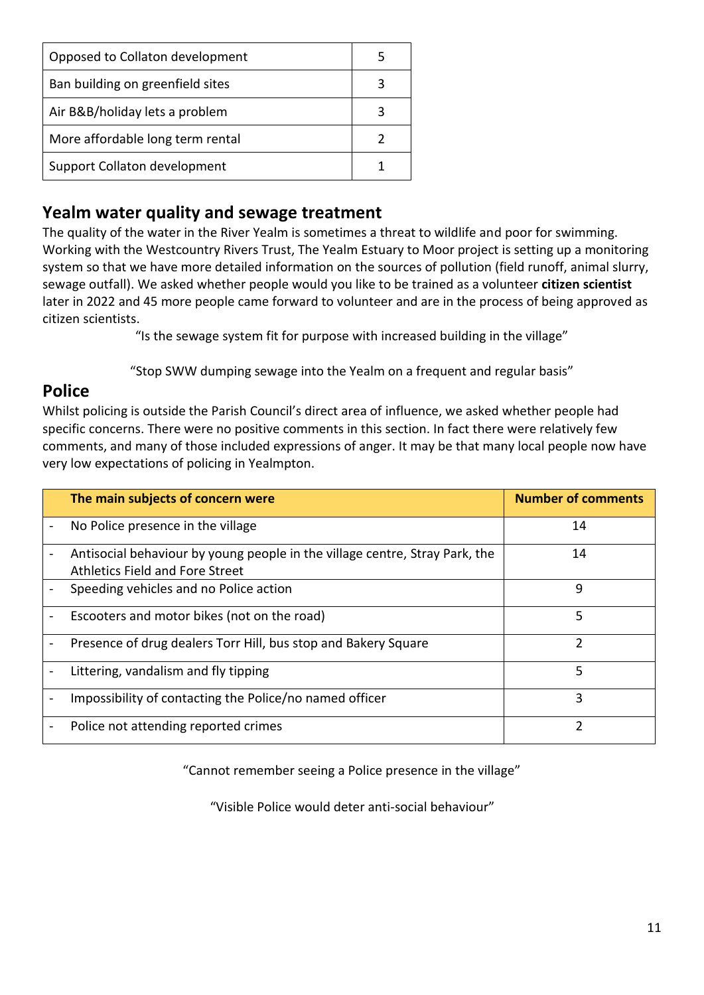| Opposed to Collaton development  |   |
|----------------------------------|---|
| Ban building on greenfield sites |   |
| Air B&B/holiday lets a problem   | 3 |
| More affordable long term rental |   |
| Support Collaton development     |   |

## **Yealm water quality and sewage treatment**

The quality of the water in the River Yealm is sometimes a threat to wildlife and poor for swimming. Working with the Westcountry Rivers Trust, The Yealm Estuary to Moor project is setting up a monitoring system so that we have more detailed information on the sources of pollution (field runoff, animal slurry, sewage outfall). We asked whether people would you like to be trained as a volunteer **citizen scientist** later in 2022 and 45 more people came forward to volunteer and are in the process of being approved as citizen scientists.

"Is the sewage system fit for purpose with increased building in the village"

"Stop SWW dumping sewage into the Yealm on a frequent and regular basis"

## **Police**

Whilst policing is outside the Parish Council's direct area of influence, we asked whether people had specific concerns. There were no positive comments in this section. In fact there were relatively few comments, and many of those included expressions of anger. It may be that many local people now have very low expectations of policing in Yealmpton.

|   | The main subjects of concern were                                                                              | <b>Number of comments</b> |
|---|----------------------------------------------------------------------------------------------------------------|---------------------------|
|   | No Police presence in the village                                                                              | 14                        |
|   | Antisocial behaviour by young people in the village centre, Stray Park, the<br>Athletics Field and Fore Street | 14                        |
|   | Speeding vehicles and no Police action                                                                         | 9                         |
|   | Escooters and motor bikes (not on the road)                                                                    | 5                         |
| - | Presence of drug dealers Torr Hill, bus stop and Bakery Square                                                 | 2                         |
|   | Littering, vandalism and fly tipping                                                                           | 5                         |
|   | Impossibility of contacting the Police/no named officer                                                        | 3                         |
|   | Police not attending reported crimes                                                                           | 2                         |

"Cannot remember seeing a Police presence in the village"

"Visible Police would deter anti-social behaviour"